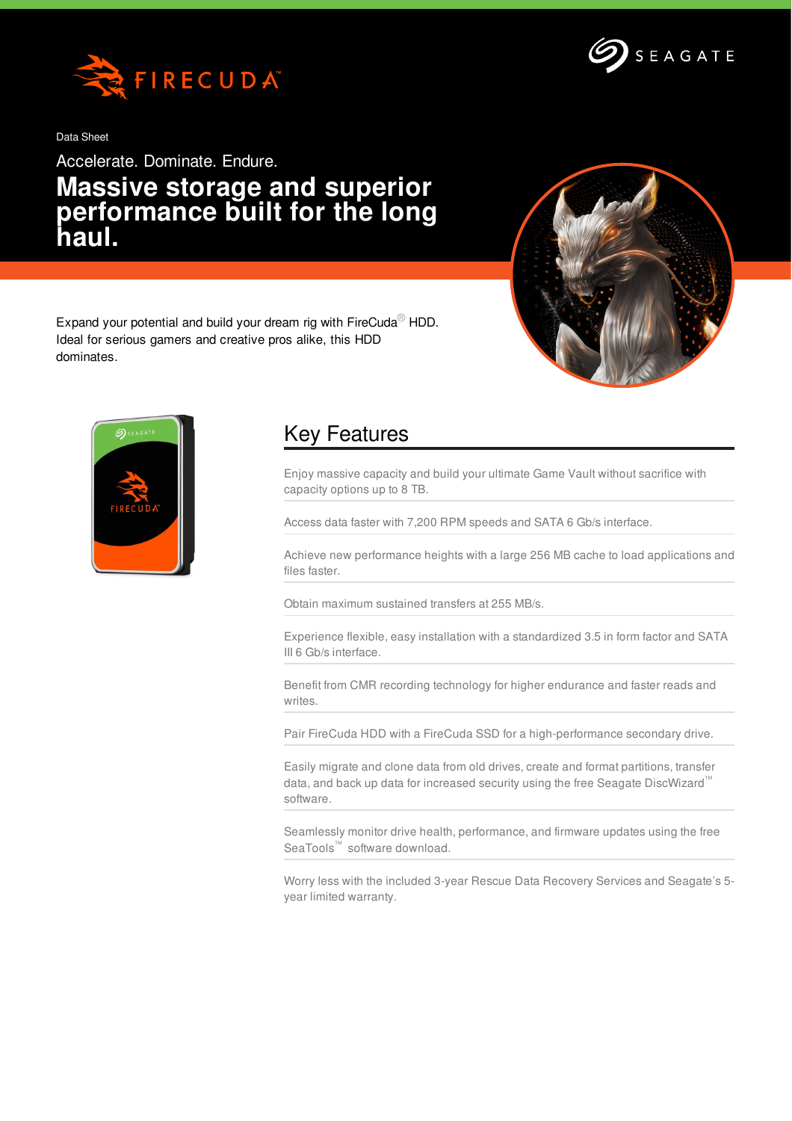

Data Sheet

Accelerate. Dominate. Endure.

## **Massive storage and superior performance built for the long haul.**



Expand your potential and build your dream rig with FireCuda<sup>®</sup> HDD. Ideal for serious gamers and creative pros alike, this HDD dominates.



## Key Features

Enjoy massive capacity and build your ultimate Game Vault without sacrifice with capacity options up to 8 TB.

Access data faster with 7,200 RPM speeds and SATA 6 Gb/s interface.

Achieve new performance heights with a large 256 MB cache to load applications and files faster.

Obtain maximum sustained transfers at 255 MB/s.

Experience flexible, easy installation with a standardized 3.5 in form factor and SATA III 6 Gb/s interface.

Benefit from CMR recording technology for higher endurance and faster reads and writes.

Pair FireCuda HDD with a FireCuda SSD for a high-performance secondary drive.

Easily migrate and clone data from old drives, create and format partitions, transfer data, and back up data for increased security using the free Seagate DiscWizard™ software.

Seamlessly monitor drive health, performance, and firmware updates using the free SeaTools™ software download.

Worry less with the included 3-year Rescue Data Recovery Services and Seagate's 5 year limited warranty.

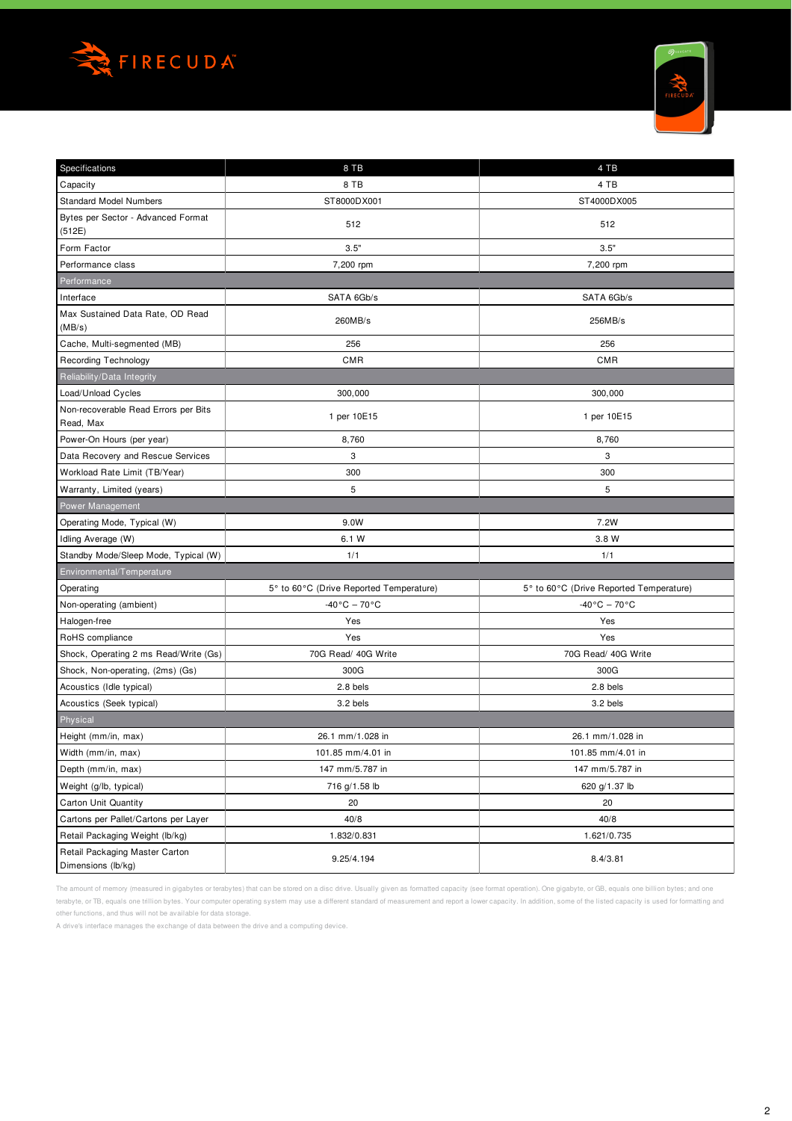



| Specifications                                       | 8 TB                                    | 4 TB                                    |  |  |  |  |  |  |  |  |  |
|------------------------------------------------------|-----------------------------------------|-----------------------------------------|--|--|--|--|--|--|--|--|--|
| Capacity                                             | 8 TB                                    | 4 TB                                    |  |  |  |  |  |  |  |  |  |
| <b>Standard Model Numbers</b>                        | ST8000DX001                             | ST4000DX005                             |  |  |  |  |  |  |  |  |  |
| Bytes per Sector - Advanced Format<br>(512E)         | 512                                     | 512                                     |  |  |  |  |  |  |  |  |  |
| Form Factor                                          | 3.5"                                    | 3.5"                                    |  |  |  |  |  |  |  |  |  |
| Performance class                                    | 7,200 rpm                               | 7,200 rpm                               |  |  |  |  |  |  |  |  |  |
| Performance                                          |                                         |                                         |  |  |  |  |  |  |  |  |  |
| Interface                                            | SATA 6Gb/s                              | SATA 6Gb/s                              |  |  |  |  |  |  |  |  |  |
| Max Sustained Data Rate, OD Read<br>(MB/s)           | 260MB/s                                 | 256MB/s                                 |  |  |  |  |  |  |  |  |  |
| Cache, Multi-segmented (MB)                          | 256                                     | 256                                     |  |  |  |  |  |  |  |  |  |
| Recording Technology                                 | <b>CMR</b>                              | <b>CMR</b>                              |  |  |  |  |  |  |  |  |  |
| Reliability/Data Integrity                           |                                         |                                         |  |  |  |  |  |  |  |  |  |
| Load/Unload Cycles                                   | 300,000                                 | 300,000                                 |  |  |  |  |  |  |  |  |  |
| Non-recoverable Read Errors per Bits<br>Read, Max    | 1 per 10E15                             | 1 per 10E15                             |  |  |  |  |  |  |  |  |  |
| Power-On Hours (per year)                            | 8,760                                   | 8,760                                   |  |  |  |  |  |  |  |  |  |
| Data Recovery and Rescue Services                    | 3                                       | 3                                       |  |  |  |  |  |  |  |  |  |
| Workload Rate Limit (TB/Year)                        | 300                                     | 300                                     |  |  |  |  |  |  |  |  |  |
| Warranty, Limited (years)                            | 5                                       | 5                                       |  |  |  |  |  |  |  |  |  |
| Power Management                                     |                                         |                                         |  |  |  |  |  |  |  |  |  |
| Operating Mode, Typical (W)                          | 9.0W                                    | 7.2W                                    |  |  |  |  |  |  |  |  |  |
| Idling Average (W)                                   | 6.1 W                                   | 3.8 W                                   |  |  |  |  |  |  |  |  |  |
| Standby Mode/Sleep Mode, Typical (W)                 | 1/1                                     | 1/1                                     |  |  |  |  |  |  |  |  |  |
| Environmental/Temperature                            |                                         |                                         |  |  |  |  |  |  |  |  |  |
| Operating                                            | 5° to 60°C (Drive Reported Temperature) | 5° to 60°C (Drive Reported Temperature) |  |  |  |  |  |  |  |  |  |
| Non-operating (ambient)                              | -40°C – 70°C                            | $-40\degree$ C – 70 $\degree$ C         |  |  |  |  |  |  |  |  |  |
| Halogen-free                                         | Yes                                     | Yes                                     |  |  |  |  |  |  |  |  |  |
| RoHS compliance                                      | Yes                                     | Yes                                     |  |  |  |  |  |  |  |  |  |
| Shock, Operating 2 ms Read/Write (Gs)                | 70G Read/ 40G Write                     | 70G Read/ 40G Write                     |  |  |  |  |  |  |  |  |  |
| Shock, Non-operating, (2ms) (Gs)                     | 300G                                    | 300G                                    |  |  |  |  |  |  |  |  |  |
| Acoustics (Idle typical)                             | $2.8$ bels                              | $2.8$ bels                              |  |  |  |  |  |  |  |  |  |
| Acoustics (Seek typical)                             | 3.2 bels                                | 3.2 bels                                |  |  |  |  |  |  |  |  |  |
| Physical                                             |                                         |                                         |  |  |  |  |  |  |  |  |  |
| Height (mm/in, max)                                  | 26.1 mm/1.028 in                        | 26.1 mm/1.028 in                        |  |  |  |  |  |  |  |  |  |
| Width (mm/in, max)                                   | 101.85 mm/4.01 in                       | 101.85 mm/4.01 in                       |  |  |  |  |  |  |  |  |  |
| Depth (mm/in, max)                                   | 147 mm/5.787 in                         | 147 mm/5.787 in                         |  |  |  |  |  |  |  |  |  |
| Weight (g/lb, typical)                               | 716 g/1.58 lb                           | 620 g/1.37 lb                           |  |  |  |  |  |  |  |  |  |
| Carton Unit Quantity                                 | 20                                      | 20                                      |  |  |  |  |  |  |  |  |  |
| Cartons per Pallet/Cartons per Layer                 | 40/8                                    | 40/8                                    |  |  |  |  |  |  |  |  |  |
| Retail Packaging Weight (lb/kg)                      | 1.832/0.831                             | 1.621/0.735                             |  |  |  |  |  |  |  |  |  |
| Retail Packaging Master Carton<br>Dimensions (lb/kg) | 9.25/4.194<br>8.4/3.81                  |                                         |  |  |  |  |  |  |  |  |  |

The amount of memory (measured in gigabytes or terabytes) that can be stored on a disc drive. Usually given as formatted capacity (see format operation). One gigabyte, or GB, equals one billion bytes; and one terabyte, or TB, equals one trillion bytes. Your computer operating system may use a different standard of measurement and report a lower capacity. In addition, some of the listed capacity is used for formatting and

other functions, and thus will not be available for data storage.

A drive's interface manages the exchange of data between the drive and a computing device.